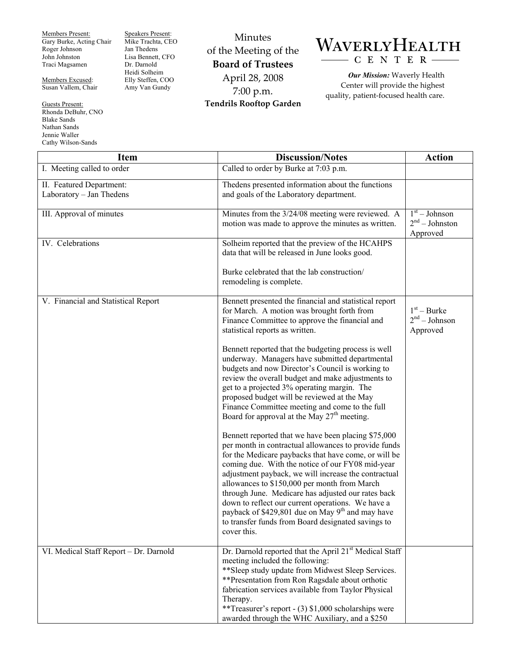Members Present: Gary Burke, Acting Chair Roger Johnson John Johnston Traci Magsamen

Members Excused: Susan Vallem, Chair

Guests Present: Rhonda DeBuhr, CNO Blake Sands Nathan Sands Jennie Waller Cathy Wilson-Sands

Speakers Present: Mike Trachta, CEO Jan Thedens Lisa Bennett, CFO Dr. Darnold Heidi Solheim Elly Steffen, COO Amy Van Gundy

Minutes of the Meeting of the **Board of Trustees**  April 28, 2008 7:00 p.m. **Tendrils Rooftop Garden** 

## WAVERLYHEALTH C E N T E R

*Our Mission:* Waverly Health Center will provide the highest quality, patient-focused health care.

| <b>Item</b>                                          | <b>Discussion/Notes</b>                                                                                                                                                                                                                                                                                                                                                                                                                                                                                                                                                                                                                                                                                                                                                                                                                                                                                                                                                                                                                                                                                                                                                                                   | <b>Action</b>                                  |
|------------------------------------------------------|-----------------------------------------------------------------------------------------------------------------------------------------------------------------------------------------------------------------------------------------------------------------------------------------------------------------------------------------------------------------------------------------------------------------------------------------------------------------------------------------------------------------------------------------------------------------------------------------------------------------------------------------------------------------------------------------------------------------------------------------------------------------------------------------------------------------------------------------------------------------------------------------------------------------------------------------------------------------------------------------------------------------------------------------------------------------------------------------------------------------------------------------------------------------------------------------------------------|------------------------------------------------|
| I. Meeting called to order                           | Called to order by Burke at 7:03 p.m.                                                                                                                                                                                                                                                                                                                                                                                                                                                                                                                                                                                                                                                                                                                                                                                                                                                                                                                                                                                                                                                                                                                                                                     |                                                |
| II. Featured Department:<br>Laboratory - Jan Thedens | Thedens presented information about the functions<br>and goals of the Laboratory department.                                                                                                                                                                                                                                                                                                                                                                                                                                                                                                                                                                                                                                                                                                                                                                                                                                                                                                                                                                                                                                                                                                              |                                                |
| <b>III.</b> Approval of minutes                      | Minutes from the 3/24/08 meeting were reviewed. A<br>motion was made to approve the minutes as written.                                                                                                                                                                                                                                                                                                                                                                                                                                                                                                                                                                                                                                                                                                                                                                                                                                                                                                                                                                                                                                                                                                   | $1st - Johnson$<br>$2nd - Johnson$<br>Approved |
| IV. Celebrations                                     | Solheim reported that the preview of the HCAHPS<br>data that will be released in June looks good.                                                                                                                                                                                                                                                                                                                                                                                                                                                                                                                                                                                                                                                                                                                                                                                                                                                                                                                                                                                                                                                                                                         |                                                |
|                                                      | Burke celebrated that the lab construction/<br>remodeling is complete.                                                                                                                                                                                                                                                                                                                                                                                                                                                                                                                                                                                                                                                                                                                                                                                                                                                                                                                                                                                                                                                                                                                                    |                                                |
| V. Financial and Statistical Report                  | Bennett presented the financial and statistical report<br>for March. A motion was brought forth from<br>Finance Committee to approve the financial and<br>statistical reports as written.<br>Bennett reported that the budgeting process is well<br>underway. Managers have submitted departmental<br>budgets and now Director's Council is working to<br>review the overall budget and make adjustments to<br>get to a projected 3% operating margin. The<br>proposed budget will be reviewed at the May<br>Finance Committee meeting and come to the full<br>Board for approval at the May 27 <sup>th</sup> meeting.<br>Bennett reported that we have been placing \$75,000<br>per month in contractual allowances to provide funds<br>for the Medicare paybacks that have come, or will be<br>coming due. With the notice of our FY08 mid-year<br>adjustment payback, we will increase the contractual<br>allowances to \$150,000 per month from March<br>through June. Medicare has adjusted our rates back<br>down to reflect our current operations. We have a<br>payback of \$429,801 due on May 9 <sup>th</sup> and may have<br>to transfer funds from Board designated savings to<br>cover this. | $1st - Burke$<br>$2nd - Johnson$<br>Approved   |
| VI. Medical Staff Report - Dr. Darnold               | Dr. Darnold reported that the April 21 <sup>st</sup> Medical Staff<br>meeting included the following:<br>** Sleep study update from Midwest Sleep Services.<br>**Presentation from Ron Ragsdale about orthotic<br>fabrication services available from Taylor Physical<br>Therapy.<br>** Treasurer's report - (3) \$1,000 scholarships were<br>awarded through the WHC Auxiliary, and a \$250                                                                                                                                                                                                                                                                                                                                                                                                                                                                                                                                                                                                                                                                                                                                                                                                              |                                                |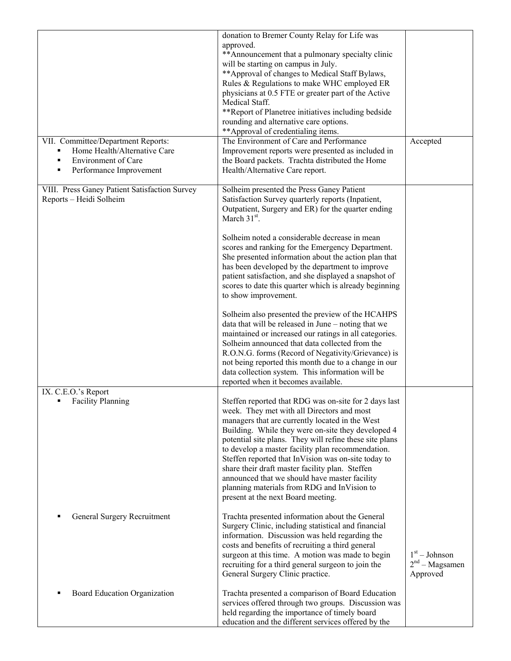| VII. Committee/Department Reports:                                                                                                          | donation to Bremer County Relay for Life was<br>approved.<br>** Announcement that a pulmonary specialty clinic<br>will be starting on campus in July.<br>** Approval of changes to Medical Staff Bylaws,<br>Rules & Regulations to make WHC employed ER<br>physicians at 0.5 FTE or greater part of the Active<br>Medical Staff.<br>**Report of Planetree initiatives including bedside<br>rounding and alternative care options.<br>** Approval of credentialing items.<br>The Environment of Care and Performance                                                          | Accepted                                        |
|---------------------------------------------------------------------------------------------------------------------------------------------|------------------------------------------------------------------------------------------------------------------------------------------------------------------------------------------------------------------------------------------------------------------------------------------------------------------------------------------------------------------------------------------------------------------------------------------------------------------------------------------------------------------------------------------------------------------------------|-------------------------------------------------|
| Home Health/Alternative Care<br>$\blacksquare$<br><b>Environment</b> of Care<br>$\blacksquare$<br>Performance Improvement<br>$\blacksquare$ | Improvement reports were presented as included in<br>the Board packets. Trachta distributed the Home<br>Health/Alternative Care report.                                                                                                                                                                                                                                                                                                                                                                                                                                      |                                                 |
| VIII. Press Ganey Patient Satisfaction Survey<br>Reports - Heidi Solheim                                                                    | Solheim presented the Press Ganey Patient<br>Satisfaction Survey quarterly reports (Inpatient,<br>Outpatient, Surgery and ER) for the quarter ending<br>March $31st$ .                                                                                                                                                                                                                                                                                                                                                                                                       |                                                 |
|                                                                                                                                             | Solheim noted a considerable decrease in mean<br>scores and ranking for the Emergency Department.<br>She presented information about the action plan that<br>has been developed by the department to improve<br>patient satisfaction, and she displayed a snapshot of<br>scores to date this quarter which is already beginning<br>to show improvement.                                                                                                                                                                                                                      |                                                 |
|                                                                                                                                             | Solheim also presented the preview of the HCAHPS<br>data that will be released in June - noting that we<br>maintained or increased our ratings in all categories.<br>Solheim announced that data collected from the<br>R.O.N.G. forms (Record of Negativity/Grievance) is<br>not being reported this month due to a change in our<br>data collection system. This information will be<br>reported when it becomes available.                                                                                                                                                 |                                                 |
| IX. C.E.O.'s Report<br><b>Facility Planning</b>                                                                                             | Steffen reported that RDG was on-site for 2 days last<br>week. They met with all Directors and most<br>managers that are currently located in the West<br>Building. While they were on-site they developed 4<br>potential site plans. They will refine these site plans<br>to develop a master facility plan recommendation.<br>Steffen reported that InVision was on-site today to<br>share their draft master facility plan. Steffen<br>announced that we should have master facility<br>planning materials from RDG and InVision to<br>present at the next Board meeting. |                                                 |
| General Surgery Recruitment                                                                                                                 | Trachta presented information about the General<br>Surgery Clinic, including statistical and financial<br>information. Discussion was held regarding the<br>costs and benefits of recruiting a third general<br>surgeon at this time. A motion was made to begin<br>recruiting for a third general surgeon to join the<br>General Surgery Clinic practice.                                                                                                                                                                                                                   | $1st - Johnson$<br>$2nd - Magsamen$<br>Approved |
| Board Education Organization                                                                                                                | Trachta presented a comparison of Board Education<br>services offered through two groups. Discussion was<br>held regarding the importance of timely board<br>education and the different services offered by the                                                                                                                                                                                                                                                                                                                                                             |                                                 |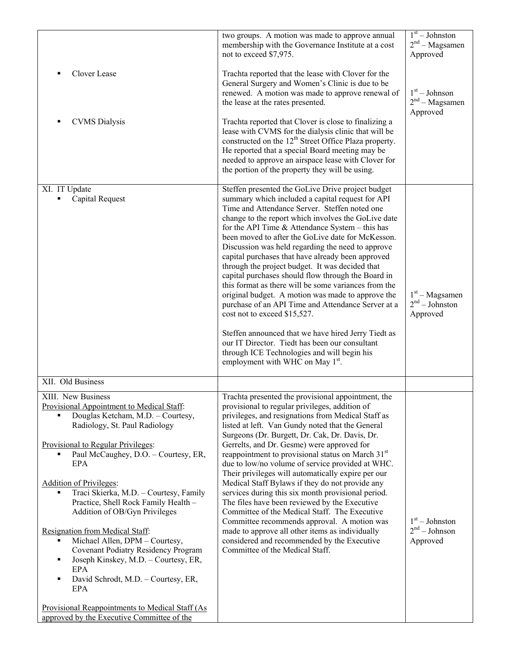|                                                                                                                                                                                                                               | two groups. A motion was made to approve annual<br>membership with the Governance Institute at a cost<br>not to exceed \$7,975.                                                                                                                                                                                                                                                                                                                                                                                                                                                                                                                                                                                                                                                                                                                                                                                                                       | $1st - Johnston$<br>$2nd - Magsamen$<br>Approved |
|-------------------------------------------------------------------------------------------------------------------------------------------------------------------------------------------------------------------------------|-------------------------------------------------------------------------------------------------------------------------------------------------------------------------------------------------------------------------------------------------------------------------------------------------------------------------------------------------------------------------------------------------------------------------------------------------------------------------------------------------------------------------------------------------------------------------------------------------------------------------------------------------------------------------------------------------------------------------------------------------------------------------------------------------------------------------------------------------------------------------------------------------------------------------------------------------------|--------------------------------------------------|
| Clover Lease                                                                                                                                                                                                                  | Trachta reported that the lease with Clover for the<br>General Surgery and Women's Clinic is due to be<br>renewed. A motion was made to approve renewal of<br>the lease at the rates presented.                                                                                                                                                                                                                                                                                                                                                                                                                                                                                                                                                                                                                                                                                                                                                       | $1st - Johnson$<br>$2nd - Magsamen$<br>Approved  |
| <b>CVMS</b> Dialysis                                                                                                                                                                                                          | Trachta reported that Clover is close to finalizing a<br>lease with CVMS for the dialysis clinic that will be<br>constructed on the 12 <sup>th</sup> Street Office Plaza property.<br>He reported that a special Board meeting may be<br>needed to approve an airspace lease with Clover for<br>the portion of the property they will be using.                                                                                                                                                                                                                                                                                                                                                                                                                                                                                                                                                                                                       |                                                  |
| XI. IT Update<br>Capital Request                                                                                                                                                                                              | Steffen presented the GoLive Drive project budget<br>summary which included a capital request for API<br>Time and Attendance Server. Steffen noted one<br>change to the report which involves the GoLive date<br>for the API Time $&$ Attendance System – this has<br>been moved to after the GoLive date for McKesson.<br>Discussion was held regarding the need to approve<br>capital purchases that have already been approved<br>through the project budget. It was decided that<br>capital purchases should flow through the Board in<br>this format as there will be some variances from the<br>original budget. A motion was made to approve the<br>purchase of an API Time and Attendance Server at a<br>cost not to exceed \$15,527.<br>Steffen announced that we have hired Jerry Tiedt as<br>our IT Director. Tiedt has been our consultant<br>through ICE Technologies and will begin his<br>employment with WHC on May 1 <sup>st</sup> . | $1st - Magsamen$<br>$2nd - Johnson$<br>Approved  |
| XII. Old Business                                                                                                                                                                                                             |                                                                                                                                                                                                                                                                                                                                                                                                                                                                                                                                                                                                                                                                                                                                                                                                                                                                                                                                                       |                                                  |
| XIII. New Business<br>Provisional Appointment to Medical Staff:<br>Douglas Ketcham, M.D. - Courtesy,<br>Radiology, St. Paul Radiology                                                                                         | Trachta presented the provisional appointment, the<br>provisional to regular privileges, addition of<br>privileges, and resignations from Medical Staff as<br>listed at left. Van Gundy noted that the General<br>Surgeons (Dr. Burgett, Dr. Cak, Dr. Davis, Dr.                                                                                                                                                                                                                                                                                                                                                                                                                                                                                                                                                                                                                                                                                      |                                                  |
| Provisional to Regular Privileges:<br>Paul McCaughey, D.O. - Courtesy, ER,<br>٠<br><b>EPA</b>                                                                                                                                 | Gerrelts, and Dr. Gesme) were approved for<br>reappointment to provisional status on March 31 <sup>st</sup><br>due to low/no volume of service provided at WHC.<br>Their privileges will automatically expire per our                                                                                                                                                                                                                                                                                                                                                                                                                                                                                                                                                                                                                                                                                                                                 |                                                  |
| <b>Addition of Privileges:</b><br>Traci Skierka, M.D. - Courtesy, Family<br>Practice, Shell Rock Family Health -<br>Addition of OB/Gyn Privileges                                                                             | Medical Staff Bylaws if they do not provide any<br>services during this six month provisional period.<br>The files have been reviewed by the Executive<br>Committee of the Medical Staff. The Executive<br>Committee recommends approval. A motion was                                                                                                                                                                                                                                                                                                                                                                                                                                                                                                                                                                                                                                                                                                | $1st - Johnston$                                 |
| Resignation from Medical Staff:<br>Michael Allen, DPM - Courtesy,<br><b>Covenant Podiatry Residency Program</b><br>Joseph Kinskey, M.D. - Courtesy, ER,<br>٠<br>EPA<br>David Schrodt, M.D. - Courtesy, ER,<br>П<br><b>EPA</b> | made to approve all other items as individually<br>considered and recommended by the Executive<br>Committee of the Medical Staff.                                                                                                                                                                                                                                                                                                                                                                                                                                                                                                                                                                                                                                                                                                                                                                                                                     | $2nd - Johnson$<br>Approved                      |
| Provisional Reappointments to Medical Staff (As<br>approved by the Executive Committee of the                                                                                                                                 |                                                                                                                                                                                                                                                                                                                                                                                                                                                                                                                                                                                                                                                                                                                                                                                                                                                                                                                                                       |                                                  |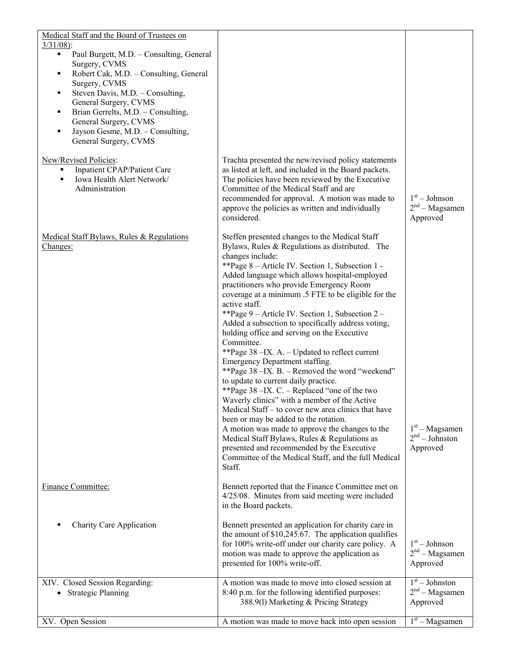| Medical Staff and the Board of Trustees on<br>$3/31/08$ :<br>Paul Burgett, M.D. - Consulting, General<br>٠<br>Surgery, CVMS<br>Robert Cak, M.D. - Consulting, General<br>٠<br>Surgery, CVMS<br>Steven Davis, M.D. - Consulting,<br>٠<br>General Surgery, CVMS<br>Brian Gerrelts, M.D. - Consulting,<br>٠<br>General Surgery, CVMS<br>Jayson Gesme, M.D. - Consulting,<br>٠<br>General Surgery, CVMS<br>New/Revised Policies:<br>Inpatient CPAP/Patient Care<br>٠ | Trachta presented the new/revised policy statements<br>as listed at left, and included in the Board packets.                                                                                                                                                                                                                                                                                                                                                                                                                                                                                                                                                                                                                                                                                                                                                                                                                                                                                                                                                                                                              |                                                 |
|------------------------------------------------------------------------------------------------------------------------------------------------------------------------------------------------------------------------------------------------------------------------------------------------------------------------------------------------------------------------------------------------------------------------------------------------------------------|---------------------------------------------------------------------------------------------------------------------------------------------------------------------------------------------------------------------------------------------------------------------------------------------------------------------------------------------------------------------------------------------------------------------------------------------------------------------------------------------------------------------------------------------------------------------------------------------------------------------------------------------------------------------------------------------------------------------------------------------------------------------------------------------------------------------------------------------------------------------------------------------------------------------------------------------------------------------------------------------------------------------------------------------------------------------------------------------------------------------------|-------------------------------------------------|
| Iowa Health Alert Network/<br>٠<br>Administration                                                                                                                                                                                                                                                                                                                                                                                                                | The policies have been reviewed by the Executive<br>Committee of the Medical Staff and are<br>recommended for approval. A motion was made to<br>approve the policies as written and individually<br>considered.                                                                                                                                                                                                                                                                                                                                                                                                                                                                                                                                                                                                                                                                                                                                                                                                                                                                                                           | $1st - Johnson$<br>$2nd - Magsamen$<br>Approved |
| Medical Staff Bylaws, Rules & Regulations<br>Changes:                                                                                                                                                                                                                                                                                                                                                                                                            | Steffen presented changes to the Medical Staff<br>Bylaws, Rules & Regulations as distributed. The<br>changes include:<br>**Page 8 - Article IV. Section 1, Subsection 1 -<br>Added language which allows hospital-employed<br>practitioners who provide Emergency Room<br>coverage at a minimum .5 FTE to be eligible for the<br>active staff.<br>**Page 9 - Article IV. Section 1, Subsection 2 -<br>Added a subsection to specifically address voting,<br>holding office and serving on the Executive<br>Committee.<br>**Page 38 - IX. A. - Updated to reflect current<br>Emergency Department staffing.<br>**Page 38 - IX. B. - Removed the word "weekend"<br>to update to current daily practice.<br>**Page 38 - IX. C. - Replaced "one of the two<br>Waverly clinics" with a member of the Active<br>Medical Staff – to cover new area clinics that have<br>been or may be added to the rotation.<br>A motion was made to approve the changes to the<br>Medical Staff Bylaws, Rules & Regulations as<br>presented and recommended by the Executive<br>Committee of the Medical Staff, and the full Medical<br>Staff. | $1st - Magsamen$<br>$2nd - Johnson$<br>Approved |
| Finance Committee:                                                                                                                                                                                                                                                                                                                                                                                                                                               | Bennett reported that the Finance Committee met on<br>4/25/08. Minutes from said meeting were included<br>in the Board packets.                                                                                                                                                                                                                                                                                                                                                                                                                                                                                                                                                                                                                                                                                                                                                                                                                                                                                                                                                                                           |                                                 |
| <b>Charity Care Application</b>                                                                                                                                                                                                                                                                                                                                                                                                                                  | Bennett presented an application for charity care in<br>the amount of $$10,245.67$ . The application qualifies<br>for 100% write-off under our charity care policy. A<br>motion was made to approve the application as<br>presented for 100% write-off.                                                                                                                                                                                                                                                                                                                                                                                                                                                                                                                                                                                                                                                                                                                                                                                                                                                                   | $1st - Johnson$<br>$2nd - Magsamen$<br>Approved |
| XIV. Closed Session Regarding:<br><b>Strategic Planning</b>                                                                                                                                                                                                                                                                                                                                                                                                      | A motion was made to move into closed session at<br>8:40 p.m. for the following identified purposes:<br>388.9(l) Marketing & Pricing Strategy                                                                                                                                                                                                                                                                                                                                                                                                                                                                                                                                                                                                                                                                                                                                                                                                                                                                                                                                                                             | $1st - Johnson$<br>$2nd - Magsamen$<br>Approved |
| XV. Open Session                                                                                                                                                                                                                                                                                                                                                                                                                                                 | A motion was made to move back into open session                                                                                                                                                                                                                                                                                                                                                                                                                                                                                                                                                                                                                                                                                                                                                                                                                                                                                                                                                                                                                                                                          | $\overline{1^{st}}$ – Magsamen                  |